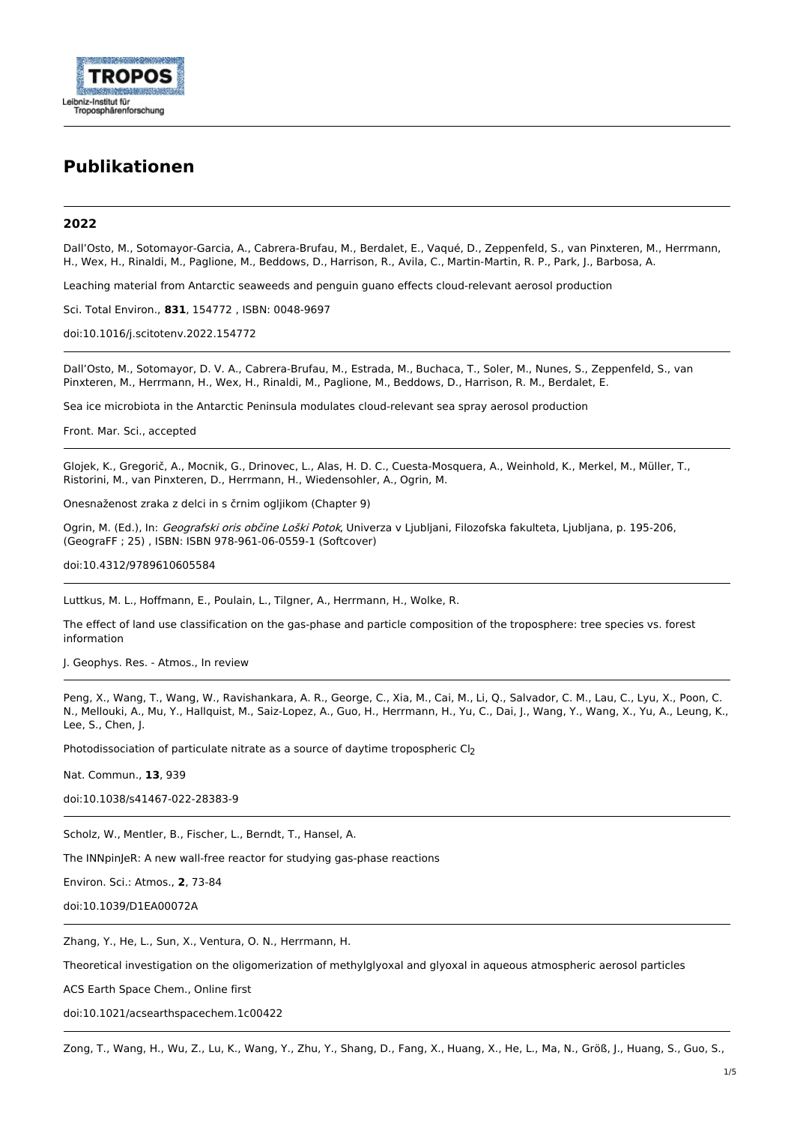

# **Publikationen**

## **2022**

Dall'Osto, M., Sotomayor-Garcia, A., Cabrera-Brufau, M., Berdalet, E., Vaqué, D., Zeppenfeld, S., van Pinxteren, M., Herrmann, H., Wex, H., Rinaldi, M., Paglione, M., Beddows, D., Harrison, R., Avila, C., Martin-Martin, R. P., Park, J., Barbosa, A.

Leaching material from Antarctic seaweeds and penguin guano effects cloud-relevant aerosol production

Sci. Total Environ., **831**, 154772 , ISBN: 0048-9697

[doi:10.1016/j.scitotenv.2022.154772](http://www.dx.doi.org/10.1016/j.scitotenv.2022.154772)

Dall'Osto, M., Sotomayor, D. V. A., Cabrera-Brufau, M., Estrada, M., Buchaca, T., Soler, M., Nunes, S., Zeppenfeld, S., van Pinxteren, M., Herrmann, H., Wex, H., Rinaldi, M., Paglione, M., Beddows, D., Harrison, R. M., Berdalet, E.

Sea ice microbiota in the Antarctic Peninsula modulates cloud-relevant sea spray aerosol production

Front. Mar. Sci., accepted

Glojek, K., Gregorič, A., Mocnik, G., Drinovec, L., Alas, H. D. C., Cuesta-Mosquera, A., Weinhold, K., Merkel, M., Müller, T., Ristorini, M., van Pinxteren, D., Herrmann, H., Wiedensohler, A., Ogrin, M.

Onesnaženost zraka z delci in s črnim ogljikom (Chapter 9)

Ogrin, M. (Ed.), In: Geografski oris občine Loški Potok, Univerza v Ljubljani, Filozofska fakulteta, Ljubljana, p. 195-206, (GeograFF ; 25) , ISBN: ISBN 978-961-06-0559-1 (Softcover)

[doi:10.4312/9789610605584](http://www.dx.doi.org/10.4312/9789610605584)

Luttkus, M. L., Hoffmann, E., Poulain, L., Tilgner, A., Herrmann, H., Wolke, R.

The effect of land use classification on the gas-phase and particle composition of the troposphere: tree species vs. forest information

J. Geophys. Res. - Atmos., In review

Peng, X., Wang, T., Wang, W., Ravishankara, A. R., George, C., Xia, M., Cai, M., Li, Q., Salvador, C. M., Lau, C., Lyu, X., Poon, C. N., Mellouki, A., Mu, Y., Hallquist, M., Saiz-Lopez, A., Guo, H., Herrmann, H., Yu, C., Dai, J., Wang, Y., Wang, X., Yu, A., Leung, K., Lee, S., Chen, J.

Photodissociation of particulate nitrate as a source of daytime tropospheric Cl<sub>2</sub>

Nat. Commun., **13**, 939

[doi:10.1038/s41467-022-28383-9](http://www.dx.doi.org/10.1038/s41467-022-28383-9)

Scholz, W., Mentler, B., Fischer, L., Berndt, T., Hansel, A.

The INNpinJeR: A new wall-free reactor for studying gas-phase reactions

Environ. Sci.: Atmos., **2**, 73-84

[doi:10.1039/D1EA00072A](http://www.dx.doi.org/10.1039/D1EA00072A)

Zhang, Y., He, L., Sun, X., Ventura, O. N., Herrmann, H.

Theoretical investigation on the oligomerization of methylglyoxal and glyoxal in aqueous atmospheric aerosol particles

ACS Earth Space Chem., Online first

[doi:10.1021/acsearthspacechem.1c00422](http://www.dx.doi.org/10.1021/acsearthspacechem.1c00422)

Zong, T., Wang, H., Wu, Z., Lu, K., Wang, Y., Zhu, Y., Shang, D., Fang, X., Huang, X., He, L., Ma, N., Größ, J., Huang, S., Guo, S.,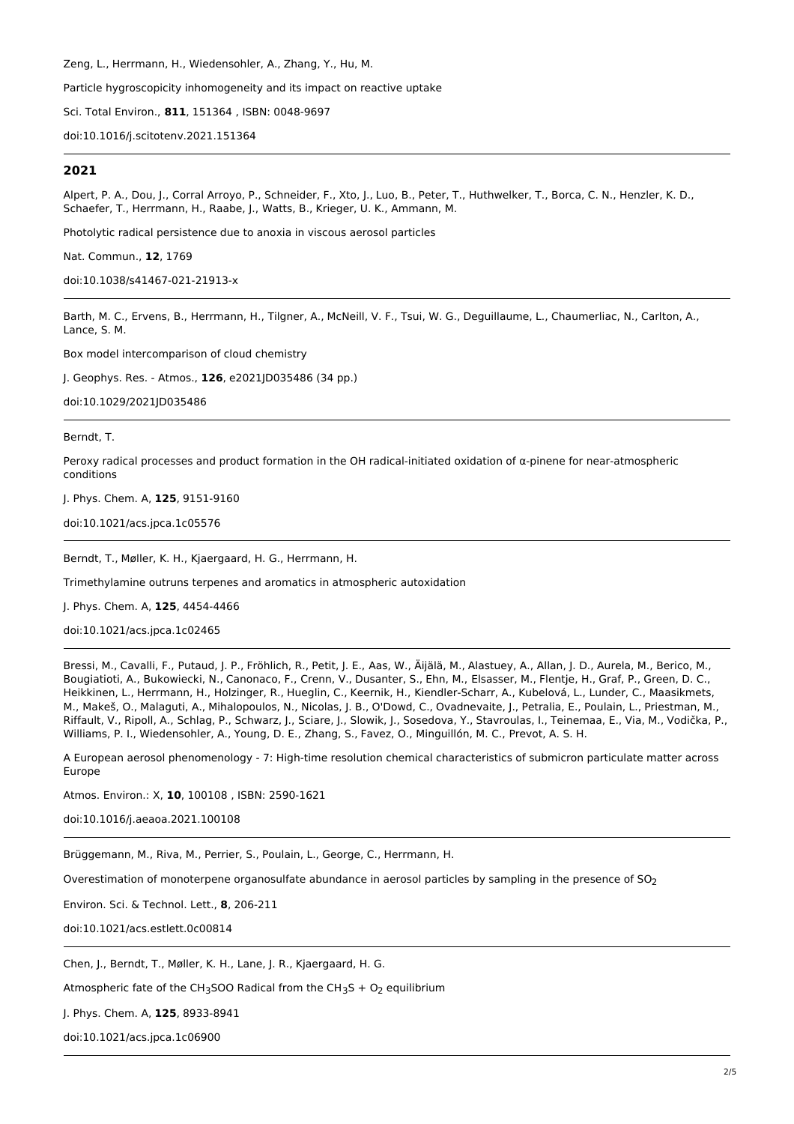Zeng, L., Herrmann, H., Wiedensohler, A., Zhang, Y., Hu, M.

Particle hygroscopicity inhomogeneity and its impact on reactive uptake

Sci. Total Environ., **811**, 151364 , ISBN: 0048-9697

[doi:10.1016/j.scitotenv.2021.151364](http://www.dx.doi.org/10.1016/j.scitotenv.2021.151364)

# **2021**

Alpert, P. A., Dou, J., Corral Arroyo, P., Schneider, F., Xto, J., Luo, B., Peter, T., Huthwelker, T., Borca, C. N., Henzler, K. D., Schaefer, T., Herrmann, H., Raabe, J., Watts, B., Krieger, U. K., Ammann, M.

Photolytic radical persistence due to anoxia in viscous aerosol particles

Nat. Commun., **12**, 1769

[doi:10.1038/s41467-021-21913-x](http://www.dx.doi.org/10.1038/s41467-021-21913-x)

Barth, M. C., Ervens, B., Herrmann, H., Tilgner, A., McNeill, V. F., Tsui, W. G., Deguillaume, L., Chaumerliac, N., Carlton, A., Lance, S. M.

Box model intercomparison of cloud chemistry

J. Geophys. Res. - Atmos., **126**, e2021JD035486 (34 pp.)

[doi:10.1029/2021JD035486](http://www.dx.doi.org/10.1029/2021JD035486)

Berndt, T.

Peroxy radical processes and product formation in the OH radical-initiated oxidation of α-pinene for near-atmospheric conditions

J. Phys. Chem. A, **125**, 9151-9160

[doi:10.1021/acs.jpca.1c05576](http://www.dx.doi.org/10.1021/acs.jpca.1c05576)

Berndt, T., Møller, K. H., Kjaergaard, H. G., Herrmann, H.

Trimethylamine outruns terpenes and aromatics in atmospheric autoxidation

J. Phys. Chem. A, **125**, 4454-4466

[doi:10.1021/acs.jpca.1c02465](http://www.dx.doi.org/10.1021/acs.jpca.1c02465)

Bressi, M., Cavalli, F., Putaud, J. P., Fröhlich, R., Petit, J. E., Aas, W., Äijälä, M., Alastuey, A., Allan, J. D., Aurela, M., Berico, M., Bougiatioti, A., Bukowiecki, N., Canonaco, F., Crenn, V., Dusanter, S., Ehn, M., Elsasser, M., Flentje, H., Graf, P., Green, D. C., Heikkinen, L., Herrmann, H., Holzinger, R., Hueglin, C., Keernik, H., Kiendler-Scharr, A., Kubelová, L., Lunder, C., Maasikmets, M., Makeš, O., Malaguti, A., Mihalopoulos, N., Nicolas, J. B., O'Dowd, C., Ovadnevaite, J., Petralia, E., Poulain, L., Priestman, M., Riffault, V., Ripoll, A., Schlag, P., Schwarz, J., Sciare, J., Slowik, J., Sosedova, Y., Stavroulas, I., Teinemaa, E., Via, M., Vodička, P., Williams, P. I., Wiedensohler, A., Young, D. E., Zhang, S., Favez, O., Minguillón, M. C., Prevot, A. S. H.

A European aerosol phenomenology - 7: High-time resolution chemical characteristics of submicron particulate matter across Europe

Atmos. Environ.: X, **10**, 100108 , ISBN: 2590-1621

[doi:10.1016/j.aeaoa.2021.100108](http://www.dx.doi.org/10.1016/j.aeaoa.2021.100108)

Brüggemann, M., Riva, M., Perrier, S., Poulain, L., George, C., Herrmann, H.

Overestimation of monoterpene organosulfate abundance in aerosol particles by sampling in the presence of  $SO<sub>2</sub>$ 

Environ. Sci. & Technol. Lett., **8**, 206-211

[doi:10.1021/acs.estlett.0c00814](http://www.dx.doi.org/10.1021/acs.estlett.0c00814)

Chen, J., Berndt, T., Møller, K. H., Lane, J. R., Kjaergaard, H. G.

Atmospheric fate of the CH<sub>3</sub>SOO Radical from the CH<sub>3</sub>S + O<sub>2</sub> equilibrium

J. Phys. Chem. A, **125**, 8933-8941

[doi:10.1021/acs.jpca.1c06900](http://www.dx.doi.org/10.1021/acs.jpca.1c06900)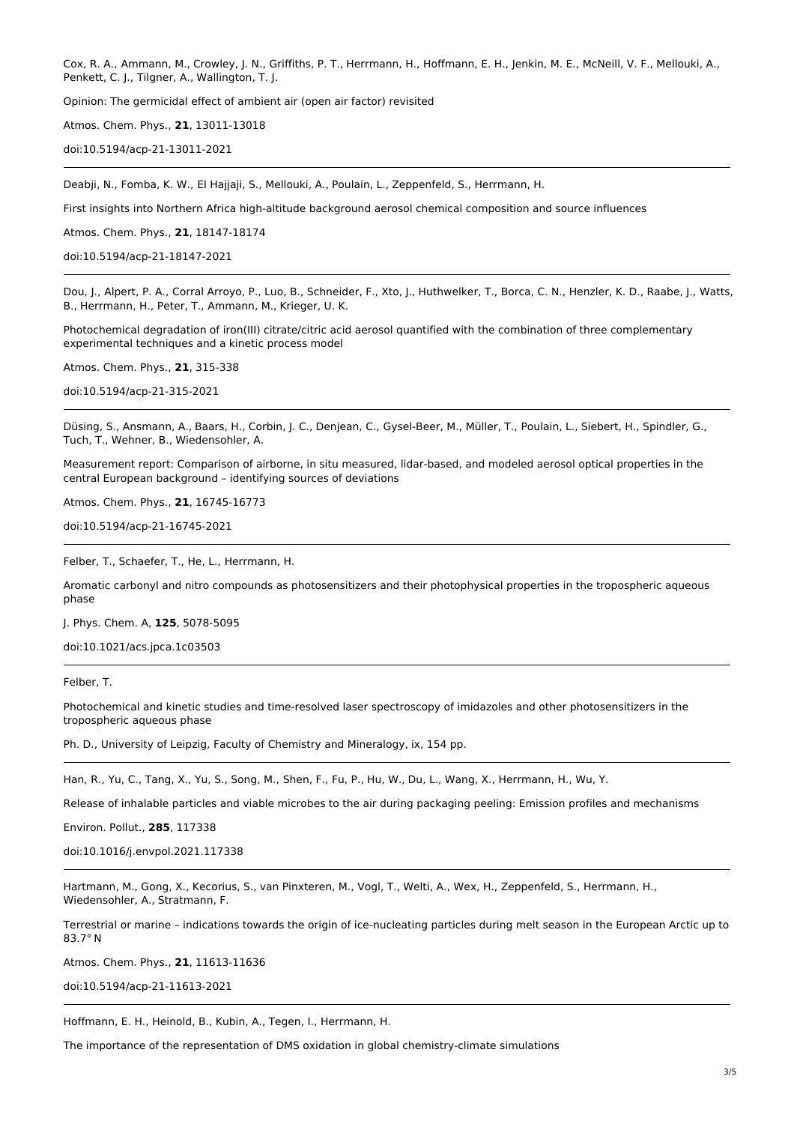Cox, R. A., Ammann, M., Crowley, J. N., Griffiths, P. T., Herrmann, H., Hoffmann, E. H., Jenkin, M. E., McNeill, V. F., Mellouki, A., Penkett, C. J., Tilgner, A., Wallington, T. J.

Opinion: The germicidal effect of ambient air (open air factor) revisited

Atmos. Chem. Phys., **21**, 13011-13018

[doi:10.5194/acp-21-13011-2021](http://www.dx.doi.org/10.5194/acp-21-13011-2021)

Deabji, N., Fomba, K. W., El Hajjaji, S., Mellouki, A., Poulain, L., Zeppenfeld, S., Herrmann, H.

First insights into Northern Africa high-altitude background aerosol chemical composition and source influences

Atmos. Chem. Phys., **21**, 18147-18174

[doi:10.5194/acp-21-18147-2021](http://www.dx.doi.org/10.5194/acp-21-18147-2021)

Dou, J., Alpert, P. A., Corral Arroyo, P., Luo, B., Schneider, F., Xto, J., Huthwelker, T., Borca, C. N., Henzler, K. D., Raabe, J., Watts, B., Herrmann, H., Peter, T., Ammann, M., Krieger, U. K.

Photochemical degradation of iron(III) citrate/citric acid aerosol quantified with the combination of three complementary experimental techniques and a kinetic process model

Atmos. Chem. Phys., **21**, 315-338

[doi:10.5194/acp-21-315-2021](http://www.dx.doi.org/10.5194/acp-21-315-2021)

Düsing, S., Ansmann, A., Baars, H., Corbin, J. C., Denjean, C., Gysel-Beer, M., Müller, T., Poulain, L., Siebert, H., Spindler, G., Tuch, T., Wehner, B., Wiedensohler, A.

Measurement report: Comparison of airborne, in situ measured, lidar-based, and modeled aerosol optical properties in the central European background – identifying sources of deviations

Atmos. Chem. Phys., **21**, 16745-16773

[doi:10.5194/acp-21-16745-2021](http://www.dx.doi.org/10.5194/acp-21-16745-2021)

Felber, T., Schaefer, T., He, L., Herrmann, H.

Aromatic carbonyl and nitro compounds as photosensitizers and their photophysical properties in the tropospheric aqueous phase

J. Phys. Chem. A, **125**, 5078-5095

[doi:10.1021/acs.jpca.1c03503](http://www.dx.doi.org/10.1021/acs.jpca.1c03503)

Felber, T.

Photochemical and kinetic studies and time-resolved laser spectroscopy of imidazoles and other photosensitizers in the tropospheric aqueous phase

Ph. D., University of Leipzig, Faculty of Chemistry and Mineralogy, ix, 154 pp.

Han, R., Yu, C., Tang, X., Yu, S., Song, M., Shen, F., Fu, P., Hu, W., Du, L., Wang, X., Herrmann, H., Wu, Y.

Release of inhalable particles and viable microbes to the air during packaging peeling: Emission profiles and mechanisms

Environ. Pollut., **285**, 117338

[doi:10.1016/j.envpol.2021.117338](http://www.dx.doi.org/10.1016/j.envpol.2021.117338)

Hartmann, M., Gong, X., Kecorius, S., van Pinxteren, M., Vogl, T., Welti, A., Wex, H., Zeppenfeld, S., Herrmann, H., Wiedensohler, A., Stratmann, F.

Terrestrial or marine – indications towards the origin of ice-nucleating particles during melt season in the European Arctic up to 83.7° N

Atmos. Chem. Phys., **21**, 11613-11636

[doi:10.5194/acp-21-11613-2021](http://www.dx.doi.org/10.5194/acp-21-11613-2021)

Hoffmann, E. H., Heinold, B., Kubin, A., Tegen, I., Herrmann, H.

The importance of the representation of DMS oxidation in global chemistry-climate simulations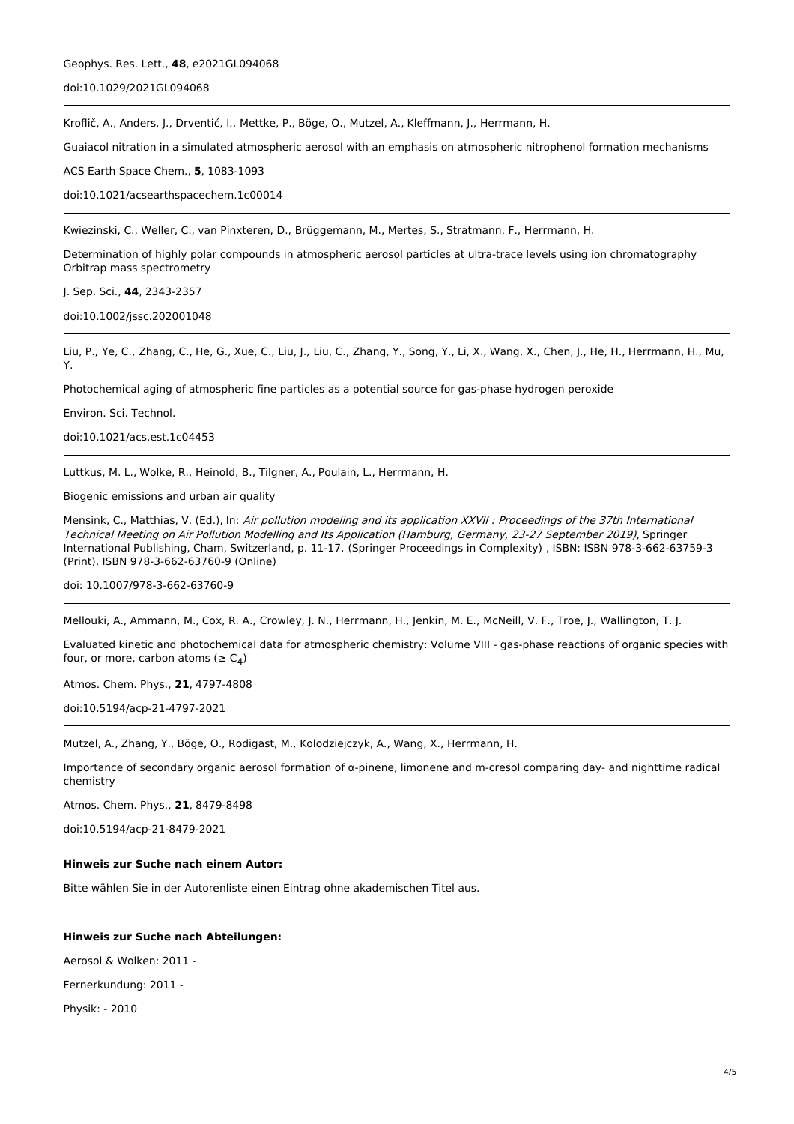## [doi:10.1029/2021GL094068](http://www.dx.doi.org/10.1029/2021GL094068)

Kroflič, A., Anders, J., Drventić, I., Mettke, P., Böge, O., Mutzel, A., Kleffmann, J., Herrmann, H.

Guaiacol nitration in a simulated atmospheric aerosol with an emphasis on atmospheric nitrophenol formation mechanisms

ACS Earth Space Chem., **5**, 1083-1093

[doi:10.1021/acsearthspacechem.1c00014](http://www.dx.doi.org/10.1021/acsearthspacechem.1c00014)

Kwiezinski, C., Weller, C., van Pinxteren, D., Brüggemann, M., Mertes, S., Stratmann, F., Herrmann, H.

Determination of highly polar compounds in atmospheric aerosol particles at ultra-trace levels using ion chromatography Orbitrap mass spectrometry

J. Sep. Sci., **44**, 2343-2357

[doi:10.1002/jssc.202001048](http://www.dx.doi.org/10.1002/jssc.202001048)

Liu, P., Ye, C., Zhang, C., He, G., Xue, C., Liu, J., Liu, C., Zhang, Y., Song, Y., Li, X., Wang, X., Chen, J., He, H., Herrmann, H., Mu, Y.

Photochemical aging of atmospheric fine particles as a potential source for gas-phase hydrogen peroxide

Environ. Sci. Technol.

[doi:10.1021/acs.est.1c04453](http://www.dx.doi.org/10.1021/acs.est.1c04453)

Luttkus, M. L., Wolke, R., Heinold, B., Tilgner, A., Poulain, L., Herrmann, H.

Biogenic emissions and urban air quality

Mensink, C., Matthias, V. (Ed.), In: Air pollution modeling and its application XXVII : Proceedings of the 37th International Technical Meeting on Air Pollution Modelling and Its Application (Hamburg, Germany, 23-27 September 2019), Springer International Publishing, Cham, Switzerland, p. 11-17, (Springer Proceedings in Complexity) , ISBN: ISBN 978-3-662-63759-3 (Print), ISBN 978-3-662-63760-9 (Online)

doi: [10.1007/978-3-662-63760-9](http://www.dx.doi.org/10.1007/978-3-662-63760-9)

Mellouki, A., Ammann, M., Cox, R. A., Crowley, J. N., Herrmann, H., Jenkin, M. E., McNeill, V. F., Troe, J., Wallington, T. J.

Evaluated kinetic and photochemical data for atmospheric chemistry: Volume VIII - gas-phase reactions of organic species with four, or more, carbon atoms ( $\geq C_4$ )

Atmos. Chem. Phys., **21**, 4797-4808

[doi:10.5194/acp-21-4797-2021](http://www.dx.doi.org/10.5194/acp-21-4797-2021)

Mutzel, A., Zhang, Y., Böge, O., Rodigast, M., Kolodziejczyk, A., Wang, X., Herrmann, H.

Importance of secondary organic aerosol formation of α-pinene, limonene and m-cresol comparing day- and nighttime radical chemistry

Atmos. Chem. Phys., **21**, 8479-8498

[doi:10.5194/acp-21-8479-2021](http://www.dx.doi.org/10.5194/acp-21-8479-2021)

### **Hinweis zur Suche nach einem Autor:**

Bitte wählen Sie in der Autorenliste einen Eintrag ohne akademischen Titel aus.

#### **Hinweis zur Suche nach Abteilungen:**

Aerosol & Wolken: 2011 -

Fernerkundung: 2011 -

Physik: - 2010